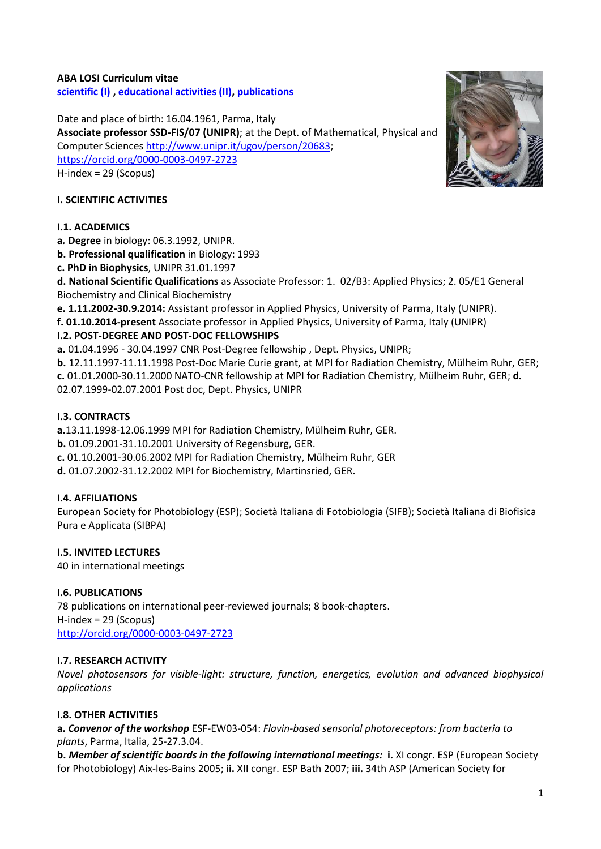#### **ABA LOSI Curriculum vitae [scientific \(I\) ,](#page-0-0) [educational activities \(II\),](#page-1-0) [publications](#page-2-0)**

Date and place of birth: 16.04.1961, Parma, Italy **Associate professor SSD-FIS/07 (UNIPR)**; at the Dept. of Mathematical, Physical and Computer Science[s http://www.unipr.it/ugov/person/20683;](http://www.unipr.it/ugov/person/20683) <https://orcid.org/0000-0003-0497-2723> H-index = 29 (Scopus)

# <span id="page-0-0"></span>**I. SCIENTIFIC ACTIVITIES**

### **I.1. ACADEMICS**

**a***.* **Degree** in biology: 06.3.1992, UNIPR.

**b. Professional qualification** in Biology: 1993

**c. PhD in Biophysics**, UNIPR 31.01.1997

**d. National Scientific Qualifications** as Associate Professor: 1. 02/B3: Applied Physics; 2. 05/E1 General Biochemistry and Clinical Biochemistry

**e. 1.11.2002-30.9.2014:** Assistant professor in Applied Physics, University of Parma, Italy (UNIPR).

**f. 01.10.2014-present** Associate professor in Applied Physics, University of Parma, Italy (UNIPR)

# **I.2. POST-DEGREE AND POST-DOC FELLOWSHIPS**

**a.** 01.04.1996 - 30.04.1997 CNR Post-Degree fellowship , Dept. Physics, UNIPR;

**b.** 12.11.1997-11.11.1998 Post-Doc Marie Curie grant, at MPI for Radiation Chemistry, Mülheim Ruhr, GER; **c.** 01.01.2000-30.11.2000 NATO-CNR fellowship at MPI for Radiation Chemistry, Mülheim Ruhr, GER; **d.**  02.07.1999-02.07.2001 Post doc, Dept. Physics, UNIPR

# **I.3. CONTRACTS**

**a.**13.11.1998-12.06.1999 MPI for Radiation Chemistry, Mülheim Ruhr, GER.

- **b.** 01.09.2001-31.10.2001 University of Regensburg, GER.
- **c.** 01.10.2001-30.06.2002 MPI for Radiation Chemistry, Mülheim Ruhr, GER

**d.** 01.07.2002-31.12.2002 MPI for Biochemistry, Martinsried, GER.

### **I.4. AFFILIATIONS**

European Society for Photobiology (ESP); Società Italiana di Fotobiologia (SIFB); Società Italiana di Biofisica Pura e Applicata (SIBPA)

### **I.5. INVITED LECTURES**

40 in international meetings

### **I.6. PUBLICATIONS**

78 publications on international peer-reviewed journals; 8 book-chapters. H-index = 29 (Scopus) <http://orcid.org/0000-0003-0497-2723>

### **I.7. RESEARCH ACTIVITY**

*Novel photosensors for visible-light: structure, function, energetics, evolution and advanced biophysical applications*

# **I.8. OTHER ACTIVITIES**

**a.** *Convenor of the workshop* ESF-EW03-054: *Flavin-based sensorial photoreceptors: from bacteria to plants*, Parma, Italia, 25-27.3.04.

**b.** *Member of scientific boards in the following international meetings:* **i.** XI congr. ESP (European Society for Photobiology) Aix-les-Bains 2005; **ii.** XII congr. ESP Bath 2007; **iii.** 34th ASP (American Society for

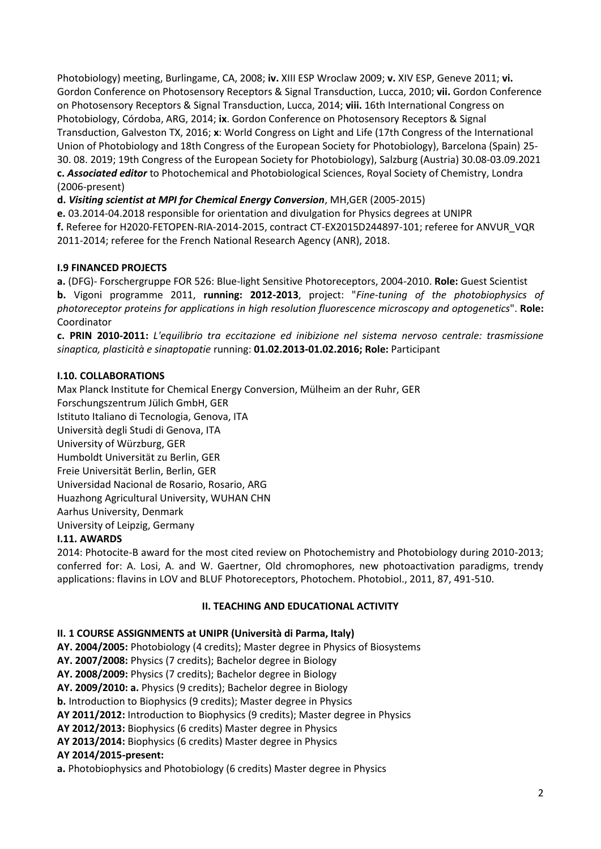Photobiology) meeting, Burlingame, CA, 2008; **iv.** XIII ESP Wroclaw 2009; **v.** XIV ESP, Geneve 2011; **vi.**  Gordon Conference on Photosensory Receptors & Signal Transduction, Lucca, 2010; **vii.** Gordon Conference on Photosensory Receptors & Signal Transduction, Lucca, 2014; **viii.** 16th International Congress on Photobiology, Córdoba, ARG, 2014; **ix**. Gordon Conference on Photosensory Receptors & Signal Transduction, Galveston TX, 2016; **x**: World Congress on Light and Life (17th Congress of the International Union of Photobiology and 18th Congress of the European Society for Photobiology), Barcelona (Spain) 25- 30. 08. 2019; 19th Congress of the European Society for Photobiology), Salzburg (Austria) 30.08-03.09.2021 **c.** *Associated editor* to Photochemical and Photobiological Sciences, Royal Society of Chemistry, Londra (2006-present)

**d.** *Visiting scientist at MPI for Chemical Energy Conversion*, MH,GER (2005-2015)

**e.** 03.2014-04.2018 responsible for orientation and divulgation for Physics degrees at UNIPR **f.** Referee for H2020-FETOPEN-RIA-2014-2015, contract CT-EX2015D244897-101; referee for ANVUR\_VQR 2011-2014; referee for the French National Research Agency (ANR), 2018.

# **I.9 FINANCED PROJECTS**

**a.** (DFG)- Forschergruppe FOR 526: Blue-light Sensitive Photoreceptors, 2004-2010. **Role:** Guest Scientist **b.** Vigoni programme 2011, **running: 2012-2013**, project: "*Fine-tuning of the photobiophysics of photoreceptor proteins for applications in high resolution fluorescence microscopy and optogenetics*". **Role:**  Coordinator

**c. PRIN 2010-2011:** *L'equilibrio tra eccitazione ed inibizione nel sistema nervoso centrale: trasmissione sinaptica, plasticità e sinaptopatie* running: **01.02.2013-01.02.2016; Role:** Participant

# **I.10. COLLABORATIONS**

Max Planck Institute for Chemical Energy Conversion, Mülheim an der Ruhr, GER Forschungszentrum Jülich GmbH, GER Istituto Italiano di Tecnologia, Genova, ITA Università degli Studi di Genova, ITA University of Würzburg, GER Humboldt Universität zu Berlin, GER Freie Universität Berlin, Berlin, GER Universidad Nacional de Rosario, Rosario, ARG Huazhong Agricultural University, WUHAN CHN Aarhus University, Denmark University of Leipzig, Germany **I.11. AWARDS**

2014: Photocite-B award for the most cited review on Photochemistry and Photobiology during 2010-2013; conferred for: A. Losi, A. and W. Gaertner, Old chromophores, new photoactivation paradigms, trendy applications: flavins in LOV and BLUF Photoreceptors, Photochem. Photobiol., 2011, 87, 491-510.

### **II. TEACHING AND EDUCATIONAL ACTIVITY**

### <span id="page-1-0"></span>**II. 1 COURSE ASSIGNMENTS at UNIPR (Università di Parma, Italy)**

**AY. 2004/2005:** Photobiology (4 credits); Master degree in Physics of Biosystems

**AY. 2007/2008:** Physics (7 credits); Bachelor degree in Biology

**AY. 2008/2009:** Physics (7 credits); Bachelor degree in Biology

**AY. 2009/2010: a.** Physics (9 credits); Bachelor degree in Biology

**b.** Introduction to Biophysics (9 credits); Master degree in Physics

**AY 2011/2012:** Introduction to Biophysics (9 credits); Master degree in Physics

**AY 2012/2013:** Biophysics (6 credits) Master degree in Physics

**AY 2013/2014:** Biophysics (6 credits) Master degree in Physics

### **AY 2014/2015-present:**

**a.** Photobiophysics and Photobiology (6 credits) Master degree in Physics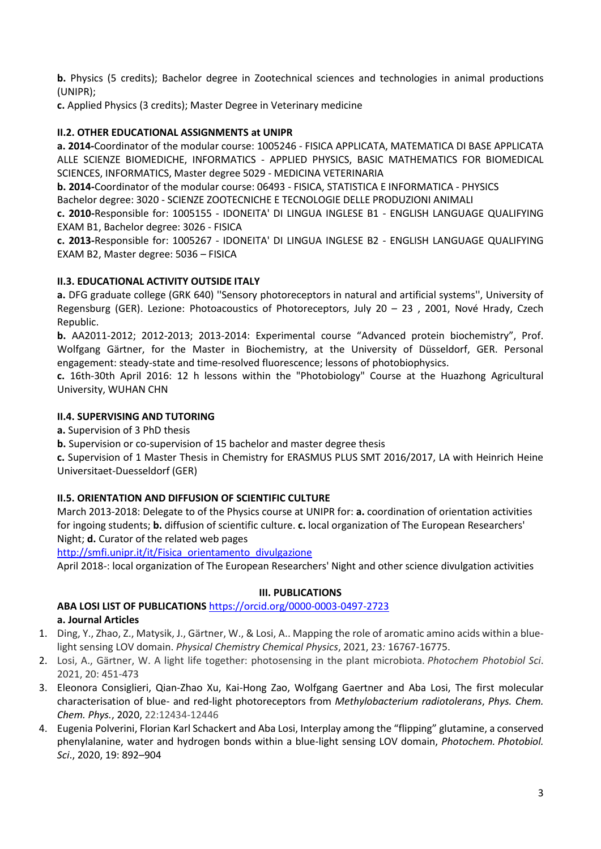**b.** Physics (5 credits); Bachelor degree in Zootechnical sciences and technologies in animal productions (UNIPR);

**c.** Applied Physics (3 credits); Master Degree in Veterinary medicine

### **II.2. OTHER EDUCATIONAL ASSIGNMENTS at UNIPR**

**a. 2014-**Coordinator of the modular course: 1005246 - FISICA APPLICATA, MATEMATICA DI BASE APPLICATA ALLE SCIENZE BIOMEDICHE, INFORMATICS - APPLIED PHYSICS, BASIC MATHEMATICS FOR BIOMEDICAL SCIENCES, INFORMATICS, Master degree 5029 - MEDICINA VETERINARIA

**b. 2014-**Coordinator of the modular course: 06493 - FISICA, STATISTICA E INFORMATICA - PHYSICS

Bachelor degree: 3020 - SCIENZE ZOOTECNICHE E TECNOLOGIE DELLE PRODUZIONI ANIMALI **c. 2010-**Responsible for: 1005155 - IDONEITA' DI LINGUA INGLESE B1 - ENGLISH LANGUAGE QUALIFYING

EXAM B1, Bachelor degree: 3026 - FISICA

**c. 2013-**Responsible for: 1005267 - IDONEITA' DI LINGUA INGLESE B2 - ENGLISH LANGUAGE QUALIFYING EXAM B2, Master degree: 5036 – FISICA

### **II.3. EDUCATIONAL ACTIVITY OUTSIDE ITALY**

**a.** DFG graduate college (GRK 640) ''Sensory photoreceptors in natural and artificial systems'', University of Regensburg (GER). Lezione: Photoacoustics of Photoreceptors, July 20 – 23 , 2001, Nové Hrady, Czech Republic.

**b.** AA2011-2012; 2012-2013; 2013-2014: Experimental course "Advanced protein biochemistry", Prof. Wolfgang Gärtner, for the Master in Biochemistry, at the University of Düsseldorf, GER. Personal engagement: steady-state and time-resolved fluorescence; lessons of photobiophysics.

**c.** 16th-30th April 2016: 12 h lessons within the "Photobiology" Course at the Huazhong Agricultural University, WUHAN CHN

#### **II.4. SUPERVISING AND TUTORING**

**a.** Supervision of 3 PhD thesis

**b.** Supervision or co-supervision of 15 bachelor and master degree thesis

**c.** Supervision of 1 Master Thesis in Chemistry for ERASMUS PLUS SMT 2016/2017, LA with Heinrich Heine Universitaet-Duesseldorf (GER)

### **II.5. ORIENTATION AND DIFFUSION OF SCIENTIFIC CULTURE**

March 2013-2018: Delegate to of the Physics course at UNIPR for: **a.** coordination of orientation activities for ingoing students; **b.** diffusion of scientific culture. **c.** local organization of The European Researchers' Night; **d.** Curator of the related web pages

[http://smfi.unipr.it/it/Fisica\\_orientamento\\_divulgazione](http://smfi.unipr.it/it/Fisica_orientamento_divulgazione)

April 2018-: local organization of The European Researchers' Night and other science divulgation activities

#### **III. PUBLICATIONS**

<span id="page-2-0"></span>**ABA LOSI LIST OF PUBLICATIONS** <https://orcid.org/0000-0003-0497-2723> **a. Journal Articles**

- 1. Ding, Y., Zhao, Z., Matysik, J., Gärtner, W., & Losi, A.. Mapping the role of aromatic amino acids within a bluelight sensing LOV domain. *Physical Chemistry Chemical Physics*, 2021, 23*:* 16767-16775.
- 2. Losi, A., Gärtner, W. A light life together: photosensing in the plant microbiota. *Photochem Photobiol Sci*. 2021, 20: 451-473
- 3. Eleonora Consiglieri, Qian-Zhao Xu, Kai-Hong Zao, Wolfgang Gaertner and Aba Losi, The first molecular characterisation of blue- and red-light photoreceptors from *Methylobacterium radiotolerans*, *Phys. Chem. Chem. Phys.*, 2020, 22:12434-12446
- 4. Eugenia Polverini, Florian Karl Schackert and Aba Losi, Interplay among the "flipping" glutamine, a conserved phenylalanine, water and hydrogen bonds within a blue-light sensing LOV domain, *Photochem. Photobiol. Sci*., 2020, 19: 892–904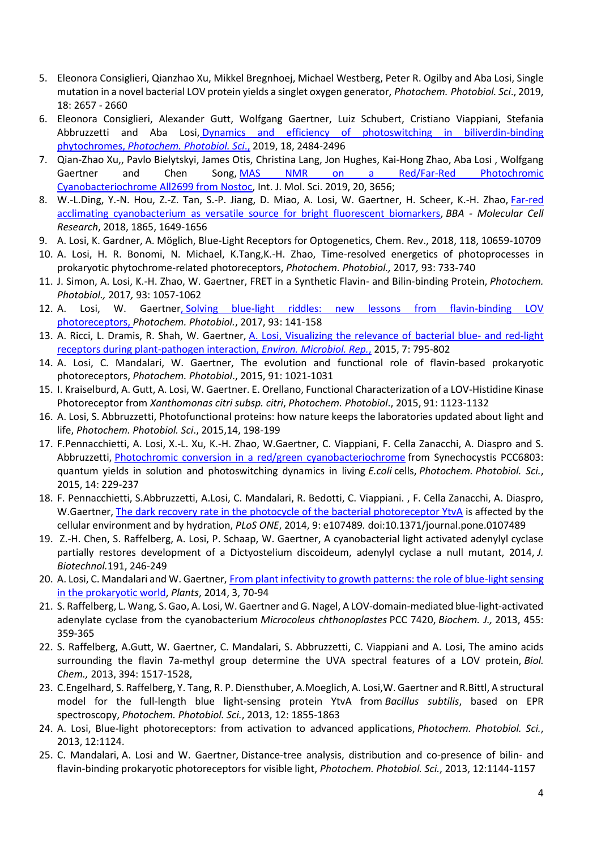- 5. Eleonora Consiglieri, Qianzhao Xu, Mikkel Bregnhoej, Michael Westberg, Peter R. Ogilby and Aba Losi, Single mutation in a novel bacterial LOV protein yields a singlet oxygen generator, *Photochem. Photobiol. Sci*., 2019, 18: 2657 - 2660
- 6. Eleonora Consiglieri, Alexander Gutt, Wolfgang Gaertner, Luiz Schubert, Cristiano Viappiani, Stefania Abbruzzetti and Aba Losi, [Dynamics and efficiency of photoswitching in biliverdin-binding](https://pubs.rsc.org/en/content/articlelanding/2019/pp/c9pp00264b/unauth#%21divAbstract)  [phytochromes,](https://pubs.rsc.org/en/content/articlelanding/2019/pp/c9pp00264b/unauth#%21divAbstract) *Photochem. Photobiol. Sci*[.,](https://pubs.rsc.org/en/content/articlelanding/2019/pp/c9pp00264b/unauth#%21divAbstract) 2019, 18, 2484-2496
- 7. Qian-Zhao Xu,, Pavlo Bielytskyi, James Otis, Christina Lang, Jon Hughes, Kai-Hong Zhao, Aba Losi , Wolfgang Gaertner and Chen Song, [MAS NMR on a Red/Far-Red Photochromic](https://www.mdpi.com/1422-0067/20/15/3656) [Cyanobacteriochrome All2699 from Nostoc,](https://www.mdpi.com/1422-0067/20/15/3656) Int. J. Mol. Sci. 2019, 20, 3656;
- 8. W.-L.Ding, Y.-N. Hou, Z.-Z. Tan, S.-P. Jiang, D. Miao, A. Losi, W. Gaertner, H. Scheer, K.-H. Zhao, [Far-red](https://www.sciencedirect.com/science/article/pii/S0167488918303008)  [acclimating cyanobacterium as versatile source for bright fluorescent biomarkers,](https://www.sciencedirect.com/science/article/pii/S0167488918303008) *BBA - Molecular Cell Research*, 2018, 1865, 1649-1656
- 9. A. Losi, K. Gardner, A. Möglich, Blue-Light Receptors for Optogenetics, Chem. Rev., 2018, 118, 10659-10709
- 10. A. Losi, H. R. Bonomi, N. Michael, K.Tang,K.-H. Zhao, Time-resolved energetics of photoprocesses in prokaryotic phytochrome-related photoreceptors, *Photochem. Photobiol.,* 2017*,* 93: 733-740
- 11. J. Simon, A. Losi, K.-H. Zhao, W. Gaertner, FRET in a Synthetic Flavin- and Bilin-binding Protein, *Photochem. Photobiol.,* 2017*,* 93: 1057-1062
- 12. A. Losi, W. Gaertne[r,](http://onlinelibrary.wiley.com/doi/10.1111/php.12674/pdf) Solving blue-light riddles: new lessons from flavin-binding LOV [photoreceptors,](http://onlinelibrary.wiley.com/doi/10.1111/php.12674/pdf) *Photochem. Photobiol.*, 2017, 93: 141-158
- 13. A. Ricci, L. Dramis, R. Shah, W. Gaertner, [A. Losi, Visualizing the relevance of bacterial blue-](http://onlinelibrary.wiley.com/doi/10.1111/1758-2229.12320/abstract) and red-light [receptors during plant-pathogen interaction,](http://onlinelibrary.wiley.com/doi/10.1111/1758-2229.12320/abstract) *[Environ. Microbiol. Rep.](http://onlinelibrary.wiley.com/doi/10.1111/1758-2229.12320/abstract)*, 2015, 7: 795-802
- 14. A. Losi, C. Mandalari, W. Gaertner, The evolution and functional role of flavin-based prokaryotic photoreceptors, *Photochem. Photobiol*., 2015, 91: 1021-1031
- 15. I. Kraiselburd, A. Gutt, A. Losi, W. Gaertner. E. Orellano, Functional Characterization of a LOV-Histidine Kinase Photoreceptor from *Xanthomonas citri subsp. citri*, *Photochem. Photobiol*., 2015, 91: 1123-1132
- 16. A. Losi, S. Abbruzzetti, Photofunctional proteins: how nature keeps the laboratories updated about light and life, *Photochem. Photobiol. Sci*., 2015,14, 198-199
- 17. F.Pennacchietti, A. Losi, X.-L. Xu, K.-H. Zhao, W.Gaertner, C. Viappiani, F. Cella Zanacchi, A. Diaspro and S. Abbruzzetti, [Photochromic conversion in a red/green cyanobacteriochrome](http://pubs.rsc.org/en/content/articlelanding/2014/pp/c4pp00337c#%21divAbstract) from Synechocystis PCC6803: quantum yields in solution and photoswitching dynamics in living *E.coli* cells, *Photochem. Photobiol. Sci.*, 2015, 14: 229-237
- 18. F. Pennacchietti, S.Abbruzzetti, A.Losi, C. Mandalari, R. Bedotti, C. Viappiani. , F. Cella Zanacchi, A. Diaspro, W.Gaertner, [The dark recovery rate in the photocycle of the bacterial photoreceptor YtvA](http://www.plosone.org/article/info%3Adoi%2F10.1371%2Fjournal.pone.0107489) is affected by the cellular environment and by hydration, *PLoS ONE*, 2014, 9: e107489*.* doi:10.1371/journal.pone.0107489
- 19. Z.-H. Chen, S. Raffelberg, A. Losi, P. Schaap, W. Gaertner, A cyanobacterial light activated adenylyl cyclase partially restores development of a Dictyostelium discoideum, adenylyl cyclase a null mutant, 2014, *J. Biotechnol.*191, 246-249
- 20. A. Losi, C. Mandalari and W. Gaertner, [From plant infectivity to growth patterns: the role of blue-light sensing](http://www.mdpi.com/2223-7747/3/1/70)  [in the prokaryotic world,](http://www.mdpi.com/2223-7747/3/1/70) *Plants*, 2014, 3, 70-94
- 21. S. Raffelberg, L. Wang, S. Gao, A. Losi, W. Gaertner and G. Nagel, A LOV-domain-mediated blue-light-activated adenylate cyclase from the cyanobacterium *Microcoleus chthonoplastes* PCC 7420, *Biochem. J.,* 2013, 455: 359-365
- 22. S. Raffelberg, A.Gutt, W. Gaertner, C. Mandalari, S. Abbruzzetti, C. Viappiani and A. Losi, The amino acids surrounding the flavin 7a-methyl group determine the UVA spectral features of a LOV protein, *Biol. Chem.,* 2013, 394: 1517-1528,
- 23. C.Engelhard, S. Raffelberg, Y. Tang, R. P. Diensthuber, A.Moeglich, A. Losi,W. Gaertner and R.Bittl, A structural model for the full-length blue light-sensing protein YtvA from *Bacillus subtilis*, based on EPR spectroscopy, *Photochem. Photobiol. Sci.*, 2013, 12: 1855-1863
- 24. A. Losi, Blue-light photoreceptors: from activation to advanced applications, *Photochem. Photobiol. Sci.*, 2013, 12:1124.
- 25. C. Mandalari, A. Losi and W. Gaertner, Distance-tree analysis, distribution and co-presence of bilin- and flavin-binding prokaryotic photoreceptors for visible light, *Photochem. Photobiol. Sci.*, 2013, 12:1144-1157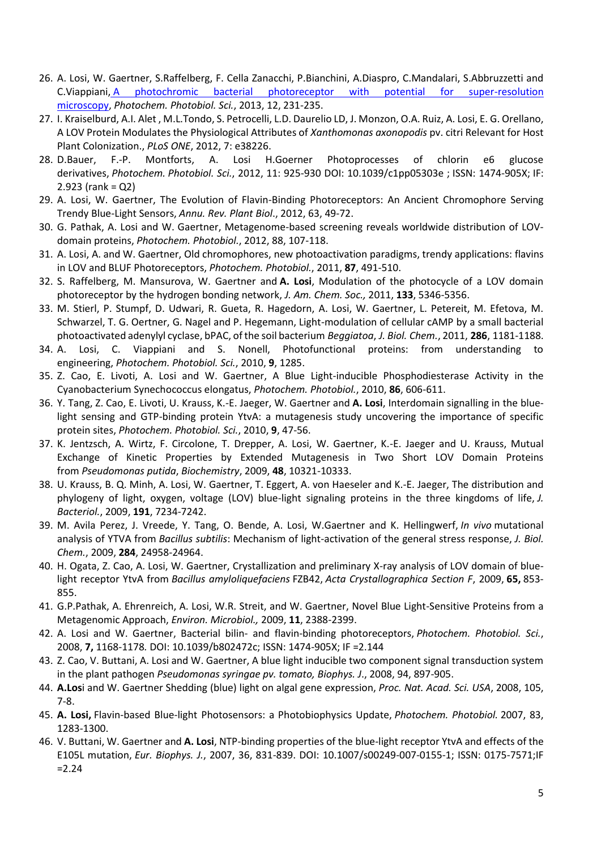- 26. A. Losi, W. Gaertner, S.Raffelberg, F. Cella Zanacchi, P.Bianchini, A.Diaspro, C.Mandalari, S.Abbruzzetti and C.Viappiani, [A photochromic bacterial photoreceptor with potential for super-resolution](http://pubs.rsc.org/en/Content/ArticleLanding/2013/PP/c2pp25254f#%21divAbstract)  [microscopy,](http://pubs.rsc.org/en/Content/ArticleLanding/2013/PP/c2pp25254f#%21divAbstract) *Photochem. Photobiol. Sci.*, 2013, 12, 231-235.
- 27. I. Kraiselburd, A.I. Alet , M.L.Tondo, S. Petrocelli, L.D. Daurelio LD, J. Monzon, O.A. Ruiz, A. Losi, E. G. Orellano, A LOV Protein Modulates the Physiological Attributes of *Xanthomonas axonopodis* pv. citri Relevant for Host Plant Colonization., *PLoS ONE*, 2012, 7: e38226.
- 28. D.Bauer, F.-P. Montforts, A. Losi H.Goerner Photoprocesses of chlorin e6 glucose derivatives, *Photochem. Photobiol. Sci.*, 2012, 11: 925-930 DOI: 10.1039/c1pp05303e ; ISSN: 1474-905X; IF: 2.923 (rank = Q2)
- 29. A. Losi, W. Gaertner, The Evolution of Flavin-Binding Photoreceptors: An Ancient Chromophore Serving Trendy Blue-Light Sensors, *Annu. Rev. Plant Biol*., 2012, 63, 49-72.
- 30. G. Pathak, A. Losi and W. Gaertner, Metagenome-based screening reveals worldwide distribution of LOVdomain proteins, *Photochem. Photobiol.*, 2012, 88, 107-118.
- 31. A. Losi, A. and W. Gaertner, Old chromophores, new photoactivation paradigms, trendy applications: flavins in LOV and BLUF Photoreceptors, *Photochem. Photobiol.*, 2011, **87**, 491-510.
- 32. S. Raffelberg, M. Mansurova, W. Gaertner and **A. Losi**, Modulation of the photocycle of a LOV domain photoreceptor by the hydrogen bonding network, *J. Am. Chem. Soc.,* 2011, **133**, 5346-5356.
- 33. M. Stierl, P. Stumpf, D. Udwari, R. Gueta, R. Hagedorn, A. Losi, W. Gaertner, L. Petereit, M. Efetova, M. Schwarzel, T. G. Oertner, G. Nagel and P. Hegemann, Light-modulation of cellular cAMP by a small bacterial photoactivated adenylyl cyclase, bPAC, of the soil bacterium *Beggiatoa*, *J. Biol. Chem.*, 2011, **286**, 1181-1188.
- 34. A. Losi, C. Viappiani and S. Nonell, Photofunctional proteins: from understanding to engineering, *Photochem. Photobiol. Sci.*, 2010, **9**, 1285.
- 35. Z. Cao, E. Livoti, A. Losi and W. Gaertner, A Blue Light-inducible Phosphodiesterase Activity in the Cyanobacterium Synechococcus elongatus, *Photochem. Photobiol.*, 2010, **86**, 606-611.
- 36. Y. Tang, Z. Cao, E. Livoti, U. Krauss, K.-E. Jaeger, W. Gaertner and **A. Losi**, Interdomain signalling in the bluelight sensing and GTP-binding protein YtvA: a mutagenesis study uncovering the importance of specific protein sites, *Photochem. Photobiol. Sci.*, 2010, **9**, 47-56.
- 37. K. Jentzsch, A. Wirtz, F. Circolone, T. Drepper, A. Losi, W. Gaertner, K.-E. Jaeger and U. Krauss, Mutual Exchange of Kinetic Properties by Extended Mutagenesis in Two Short LOV Domain Proteins from *Pseudomonas putida*, *Biochemistry*, 2009, **48**, 10321-10333.
- 38. U. Krauss, B. Q. Minh, A. Losi, W. Gaertner, T. Eggert, A. von Haeseler and K.-E. Jaeger, The distribution and phylogeny of light, oxygen, voltage (LOV) blue-light signaling proteins in the three kingdoms of life, *J. Bacteriol.*, 2009, **191**, 7234-7242.
- 39. M. Avila Perez, J. Vreede, Y. Tang, O. Bende, A. Losi, W.Gaertner and K. Hellingwerf, *In vivo* mutational analysis of YTVA from *Bacillus subtilis*: Mechanism of light-activation of the general stress response, *J. Biol. Chem.*, 2009, **284**, 24958-24964.
- 40. H. Ogata, Z. Cao, A. Losi, W. Gaertner, Crystallization and preliminary X-ray analysis of LOV domain of bluelight receptor YtvA from *Bacillus amyloliquefaciens* FZB42, *Acta Crystallographica Section F*, 2009, **65,** 853- 855.
- 41. G.P.Pathak, A. Ehrenreich, A. Losi, W.R. Streit, and W. Gaertner, Novel Blue Light-Sensitive Proteins from a Metagenomic Approach, *Environ. Microbiol.,* 2009, **11**, 2388-2399.
- 42. A. Losi and W. Gaertner, Bacterial bilin- and flavin-binding photoreceptors, *Photochem. Photobiol. Sci.*, 2008, **7,** 1168-1178*.* DOI: 10.1039/b802472c; ISSN: 1474-905X; IF =2.144
- 43. Z. Cao, V. Buttani, A. Losi and W. Gaertner, A blue light inducible two component signal transduction system in the plant pathogen *Pseudomonas syringae pv. tomato, Biophys. J*., 2008, 94, 897-905.
- 44. **A.Los**i and W. Gaertner Shedding (blue) light on algal gene expression, *Proc. Nat. Acad. Sci. USA*, 2008, 105, 7-8.
- 45. **A. Losi,** Flavin-based Blue-light Photosensors: a Photobiophysics Update, *Photochem. Photobiol.* 2007, 83, 1283-1300.
- 46. V. Buttani, W. Gaertner and **A. Losi**, NTP-binding properties of the blue-light receptor YtvA and effects of the E105L mutation, *Eur. Biophys. J.*, 2007, 36, 831-839. DOI: 10.1007/s00249-007-0155-1; ISSN: 0175-7571;IF  $= 2.24$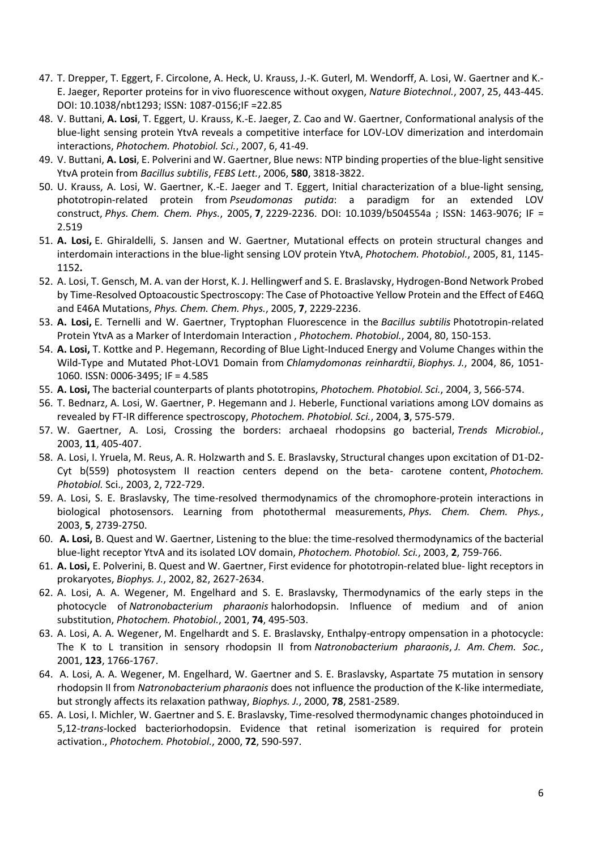- 47. T. Drepper, T. Eggert, F. Circolone, A. Heck, U. Krauss, J.-K. Guterl, M. Wendorff, A. Losi, W. Gaertner and K.- E. Jaeger, Reporter proteins for in vivo fluorescence without oxygen, *Nature Biotechnol.*, 2007, 25, 443-445. DOI: 10.1038/nbt1293; ISSN: 1087-0156;IF =22.85
- 48. V. Buttani, **A. Losi**, T. Eggert, U. Krauss, K.-E. Jaeger, Z. Cao and W. Gaertner, Conformational analysis of the blue-light sensing protein YtvA reveals a competitive interface for LOV-LOV dimerization and interdomain interactions, *Photochem. Photobiol. Sci.*, 2007, 6, 41-49.
- 49. V. Buttani, **A. Losi**, E. Polverini and W. Gaertner, Blue news: NTP binding properties of the blue-light sensitive YtvA protein from *Bacillus subtilis*, *FEBS Lett.*, 2006, **580**, 3818-3822.
- 50. U. Krauss, A. Losi, W. Gaertner, K.-E. Jaeger and T. Eggert, Initial characterization of a blue-light sensing, phototropin-related protein from *Pseudomonas putida*: a paradigm for an extended LOV construct, *Phys. Chem. Chem. Phys.*, 2005, **7**, 2229-2236. DOI: 10.1039/b504554a ; ISSN: 1463-9076; IF = 2.519
- 51. **A. Losi,** E. Ghiraldelli, S. Jansen and W. Gaertner, Mutational effects on protein structural changes and interdomain interactions in the blue-light sensing LOV protein YtvA, *Photochem. Photobiol.*, 2005, 81, 1145- 1152**.**
- 52. A. Losi, T. Gensch, M. A. van der Horst, K. J. Hellingwerf and S. E. Braslavsky, Hydrogen-Bond Network Probed by Time-Resolved Optoacoustic Spectroscopy: The Case of Photoactive Yellow Protein and the Effect of E46Q and E46A Mutations, *Phys. Chem. Chem. Phys.*, 2005, **7**, 2229-2236.
- 53. **A. Losi,** E. Ternelli and W. Gaertner, Tryptophan Fluorescence in the *Bacillus subtilis* Phototropin-related Protein YtvA as a Marker of Interdomain Interaction , *Photochem. Photobiol.*, 2004, 80, 150-153.
- 54. **A. Losi,** T. Kottke and P. Hegemann, Recording of Blue Light-Induced Energy and Volume Changes within the Wild-Type and Mutated Phot-LOV1 Domain from *Chlamydomonas reinhardtii*, *Biophys. J.*, 2004, 86, 1051- 1060. ISSN: 0006-3495; IF = 4.585
- 55. **A. Losi,** The bacterial counterparts of plants phototropins, *Photochem. Photobiol. Sci.*, 2004, 3, 566-574.
- 56. T. Bednarz, A. Losi, W. Gaertner, P. Hegemann and J. Heberle, Functional variations among LOV domains as revealed by FT-IR difference spectroscopy, *Photochem. Photobiol. Sci.*, 2004, **3**, 575-579.
- 57. W. Gaertner, A. Losi, Crossing the borders: archaeal rhodopsins go bacterial, *Trends Microbiol.*, 2003, **11**, 405-407.
- 58. A. Losi, I. Yruela, M. Reus, A. R. Holzwarth and S. E. Braslavsky, Structural changes upon excitation of D1-D2- Cyt b(559) photosystem II reaction centers depend on the beta- carotene content, *Photochem. Photobiol.* Sci., 2003, 2, 722-729.
- 59. A. Losi, S. E. Braslavsky, The time-resolved thermodynamics of the chromophore-protein interactions in biological photosensors. Learning from photothermal measurements, *Phys. Chem. Chem. Phys.*, 2003, **5**, 2739-2750.
- 60. **A. Losi,** B. Quest and W. Gaertner, Listening to the blue: the time-resolved thermodynamics of the bacterial blue-light receptor YtvA and its isolated LOV domain, *Photochem. Photobiol. Sci.*, 2003, **2**, 759-766.
- 61. **A. Losi,** E. Polverini, B. Quest and W. Gaertner, First evidence for phototropin-related blue- light receptors in prokaryotes, *Biophys. J.*, 2002, 82, 2627-2634.
- 62. A. Losi, A. A. Wegener, M. Engelhard and S. E. Braslavsky, Thermodynamics of the early steps in the photocycle of *Natronobacterium pharaonis* halorhodopsin. Influence of medium and of anion substitution, *Photochem. Photobiol.*, 2001, **74**, 495-503.
- 63. A. Losi, A. A. Wegener, M. Engelhardt and S. E. Braslavsky, Enthalpy-entropy ompensation in a photocycle: The K to L transition in sensory rhodopsin II from *Natronobacterium pharaonis*, *J. Am. Chem. Soc.*, 2001, **123**, 1766-1767.
- 64. A. Losi, A. A. Wegener, M. Engelhard, W. Gaertner and S. E. Braslavsky, Aspartate 75 mutation in sensory rhodopsin II from *Natronobacterium pharaonis* does not influence the production of the K-like intermediate, but strongly affects its relaxation pathway, *Biophys. J.*, 2000, **78**, 2581-2589.
- 65. A. Losi, I. Michler, W. Gaertner and S. E. Braslavsky, Time-resolved thermodynamic changes photoinduced in 5,12-*trans-*locked bacteriorhodopsin. Evidence that retinal isomerization is required for protein activation., *Photochem. Photobiol.*, 2000, **72**, 590-597.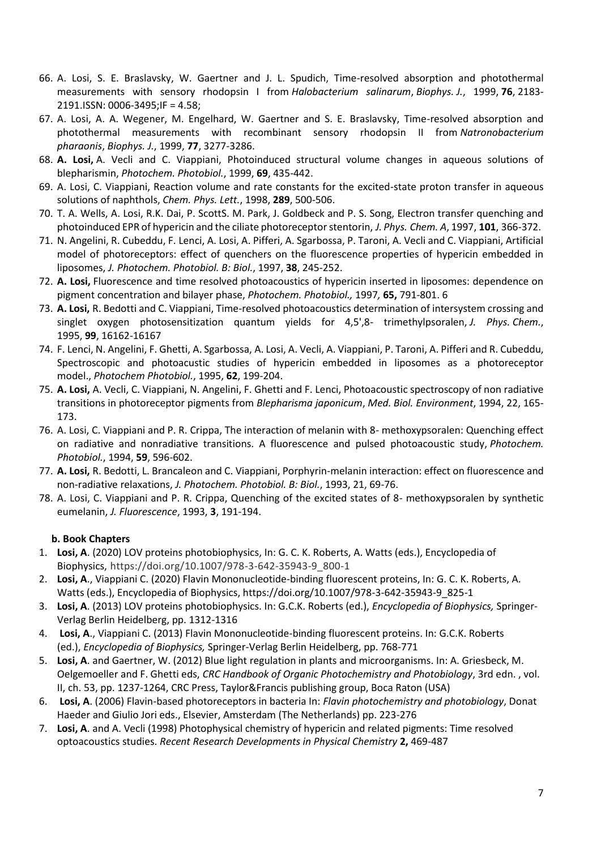- 66. A. Losi, S. E. Braslavsky, W. Gaertner and J. L. Spudich, Time-resolved absorption and photothermal measurements with sensory rhodopsin I from *Halobacterium salinarum*, *Biophys. J.*, 1999, **76**, 2183- 2191.ISSN: 0006-3495;IF = 4.58;
- 67. A. Losi, A. A. Wegener, M. Engelhard, W. Gaertner and S. E. Braslavsky, Time-resolved absorption and photothermal measurements with recombinant sensory rhodopsin II from *Natronobacterium pharaonis*, *Biophys. J.*, 1999, **77**, 3277-3286.
- 68. **A. Losi,** A. Vecli and C. Viappiani, Photoinduced structural volume changes in aqueous solutions of blepharismin, *Photochem. Photobiol.*, 1999, **69**, 435-442.
- 69. A. Losi, C. Viappiani, Reaction volume and rate constants for the excited-state proton transfer in aqueous solutions of naphthols, *Chem. Phys. Lett.*, 1998, **289**, 500-506.
- 70. T. A. Wells, A. Losi, R.K. Dai, P. ScottS. M. Park, J. Goldbeck and P. S. Song, Electron transfer quenching and photoinduced EPR of hypericin and the ciliate photoreceptor stentorin, *J. Phys. Chem. A*, 1997, **101**, 366-372.
- 71. N. Angelini, R. Cubeddu, F. Lenci, A. Losi, A. Pifferi, A. Sgarbossa, P. Taroni, A. Vecli and C. Viappiani, Artificial model of photoreceptors: effect of quenchers on the fluorescence properties of hypericin embedded in liposomes, *J. Photochem. Photobiol. B: Biol.*, 1997, **38**, 245-252.
- 72. **A. Losi,** Fluorescence and time resolved photoacoustics of hypericin inserted in liposomes: dependence on pigment concentration and bilayer phase, *Photochem. Photobiol.,* 1997*,* **65,** 791-801. 6
- 73. **A. Losi,** R. Bedotti and C. Viappiani, Time-resolved photoacoustics determination of intersystem crossing and singlet oxygen photosensitization quantum yields for 4,5',8- trimethylpsoralen, *J. Phys. Chem.*, 1995, **99**, 16162-16167
- 74. F. Lenci, N. Angelini, F. Ghetti, A. Sgarbossa, A. Losi, A. Vecli, A. Viappiani, P. Taroni, A. Pifferi and R. Cubeddu, Spectroscopic and photoacustic studies of hypericin embedded in liposomes as a photoreceptor model., *Photochem Photobiol.*, 1995, **62**, 199-204.
- 75. **A. Losi,** A. Vecli, C. Viappiani, N. Angelini, F. Ghetti and F. Lenci, Photoacoustic spectroscopy of non radiative transitions in photoreceptor pigments from *Blepharisma japonicum*, *Med. Biol. Environment*, 1994, 22, 165- 173.
- 76. A. Losi, C. Viappiani and P. R. Crippa, The interaction of melanin with 8- methoxypsoralen: Quenching effect on radiative and nonradiative transitions. A fluorescence and pulsed photoacoustic study, *Photochem. Photobiol.*, 1994, **59**, 596-602.
- 77. **A. Losi,** R. Bedotti, L. Brancaleon and C. Viappiani, Porphyrin-melanin interaction: effect on fluorescence and non-radiative relaxations, *J. Photochem. Photobiol. B: Biol.*, 1993, 21, 69-76.
- 78. A. Losi, C. Viappiani and P. R. Crippa, Quenching of the excited states of 8- methoxypsoralen by synthetic eumelanin, *J. Fluorescence*, 1993, **3**, 191-194.

### **b. Book Chapters**

- 1. **Losi, A**. (2020) LOV proteins photobiophysics, In: G. C. K. Roberts, A. Watts (eds.), Encyclopedia of Biophysics, https://doi.org/10.1007/978-3-642-35943-9\_800-1
- 2. **Losi, A**., Viappiani C. (2020) Flavin Mononucleotide-binding fluorescent proteins, In: G. C. K. Roberts, A. Watts (eds.), Encyclopedia of Biophysics, https://doi.org/10.1007/978-3-642-35943-9\_825-1
- 3. **Losi, A**. (2013) LOV proteins photobiophysics. In: G.C.K. Roberts (ed.), *Encyclopedia of Biophysics,* Springer-Verlag Berlin Heidelberg, pp. 1312-1316
- 4. **Losi, A**., Viappiani C. (2013) Flavin Mononucleotide-binding fluorescent proteins. In: G.C.K. Roberts (ed.), *Encyclopedia of Biophysics,* Springer-Verlag Berlin Heidelberg, pp. 768-771
- 5. **Losi, A**. and Gaertner, W. (2012) Blue light regulation in plants and microorganisms. In: A. Griesbeck, M. Oelgemoeller and F. Ghetti eds, *CRC Handbook of Organic Photochemistry and Photobiology*, 3rd edn. , vol. II, ch. 53, pp. 1237-1264, CRC Press, Taylor&Francis publishing group, Boca Raton (USA)
- 6. **Losi, A**. (2006) Flavin-based photoreceptors in bacteria In: *Flavin photochemistry and photobiology*, Donat Haeder and Giulio Jori eds., Elsevier, Amsterdam (The Netherlands) pp. 223-276
- 7. **Losi, A**. and A. Vecli (1998) Photophysical chemistry of hypericin and related pigments: Time resolved optoacoustics studies. *Recent Research Developments in Physical Chemistry* **2,** 469-487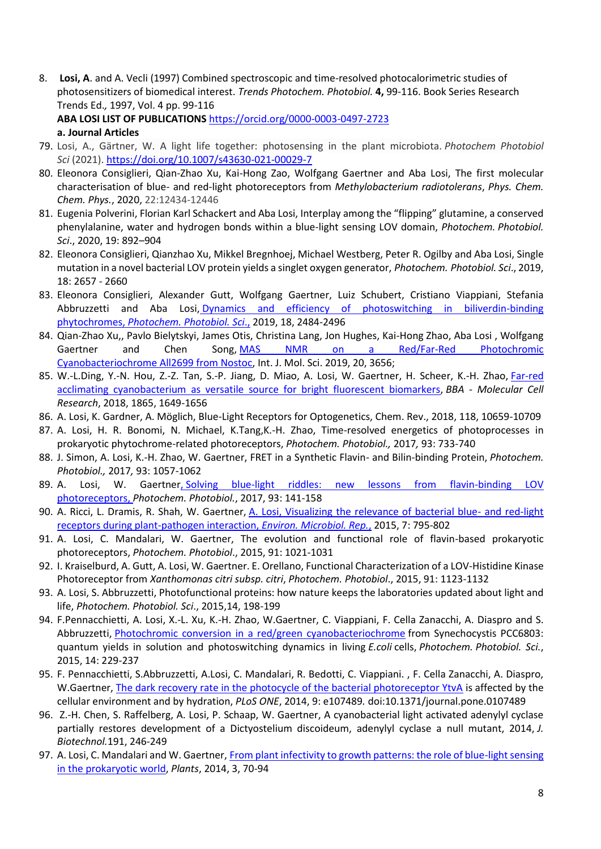8. **Losi, A**. and A. Vecli (1997) Combined spectroscopic and time-resolved photocalorimetric studies of photosensitizers of biomedical interest. *Trends Photochem. Photobiol.* **4,** 99-116. Book Series Research Trends Ed.*,* 1997, Vol. 4 pp. 99-116

**ABA LOSI LIST OF PUBLICATIONS** <https://orcid.org/0000-0003-0497-2723>

### **a. Journal Articles**

- 79. Losi, A., Gärtner, W. A light life together: photosensing in the plant microbiota. *Photochem Photobiol Sci* (2021)[. https://doi.org/10.1007/s43630-021-00029-7](https://doi.org/10.1007/s43630-021-00029-7)
- 80. Eleonora Consiglieri, Qian-Zhao Xu, Kai-Hong Zao, Wolfgang Gaertner and Aba Losi, The first molecular characterisation of blue- and red-light photoreceptors from *Methylobacterium radiotolerans*, *Phys. Chem. Chem. Phys.*, 2020, 22:12434-12446
- 81. Eugenia Polverini, Florian Karl Schackert and Aba Losi, Interplay among the "flipping" glutamine, a conserved phenylalanine, water and hydrogen bonds within a blue-light sensing LOV domain, *Photochem. Photobiol. Sci*., 2020, 19: 892–904
- 82. Eleonora Consiglieri, Qianzhao Xu, Mikkel Bregnhoej, Michael Westberg, Peter R. Ogilby and Aba Losi, Single mutation in a novel bacterial LOV protein yields a singlet oxygen generator, *Photochem. Photobiol. Sci*., 2019, 18: 2657 - 2660
- 83. Eleonora Consiglieri, Alexander Gutt, Wolfgang Gaertner, Luiz Schubert, Cristiano Viappiani, Stefania Abbruzzetti and Aba Losi, Dynamics and efficiency of photoswitching in biliverdin-binding [phytochromes,](https://pubs.rsc.org/en/content/articlelanding/2019/pp/c9pp00264b/unauth#%21divAbstract) *Photochem. Photobiol. Sci*[.,](https://pubs.rsc.org/en/content/articlelanding/2019/pp/c9pp00264b/unauth#%21divAbstract) 2019, 18, 2484-2496
- 84. Qian-Zhao Xu,, Pavlo Bielytskyi, James Otis, Christina Lang, Jon Hughes, Kai-Hong Zhao, Aba Losi , Wolfgang Gaertner and Chen Song, [MAS NMR on a Red/Far-Red Photochromic](https://www.mdpi.com/1422-0067/20/15/3656) [Cyanobacteriochrome All2699 from Nostoc,](https://www.mdpi.com/1422-0067/20/15/3656) Int. J. Mol. Sci. 2019, 20, 3656;
- 85. W.-L.Ding, Y.-N. Hou, Z.-Z. Tan, S.-P. Jiang, D. Miao, A. Losi, W. Gaertner, H. Scheer, K.-H. Zhao, [Far-red](https://www.sciencedirect.com/science/article/pii/S0167488918303008)  [acclimating cyanobacterium as versatile source for bright fluorescent biomarkers,](https://www.sciencedirect.com/science/article/pii/S0167488918303008) *BBA - Molecular Cell Research*, 2018, 1865, 1649-1656
- 86. A. Losi, K. Gardner, A. Möglich, Blue-Light Receptors for Optogenetics, Chem. Rev., 2018, 118, 10659-10709
- 87. A. Losi, H. R. Bonomi, N. Michael, K.Tang,K.-H. Zhao, Time-resolved energetics of photoprocesses in prokaryotic phytochrome-related photoreceptors, *Photochem. Photobiol.,* 2017*,* 93: 733-740
- 88. J. Simon, A. Losi, K.-H. Zhao, W. Gaertner, FRET in a Synthetic Flavin- and Bilin-binding Protein, *Photochem. Photobiol.,* 2017*,* 93: 1057-1062
- 89. A. Losi, W. Gaertne[r,](http://onlinelibrary.wiley.com/doi/10.1111/php.12674/pdf) Solving blue-light riddles: new lessons from flavin-binding LOV [photoreceptors,](http://onlinelibrary.wiley.com/doi/10.1111/php.12674/pdf) *Photochem. Photobiol.*, 2017, 93: 141-158
- 90. A. Ricci, L. Dramis, R. Shah, W. Gaertner, [A. Losi, Visualizing the relevance of bacterial blue-](http://onlinelibrary.wiley.com/doi/10.1111/1758-2229.12320/abstract) and red-light [receptors during plant-pathogen interaction,](http://onlinelibrary.wiley.com/doi/10.1111/1758-2229.12320/abstract) *[Environ. Microbiol. Rep.](http://onlinelibrary.wiley.com/doi/10.1111/1758-2229.12320/abstract)*, 2015, 7: 795-802
- 91. A. Losi, C. Mandalari, W. Gaertner, The evolution and functional role of flavin-based prokaryotic photoreceptors, *Photochem. Photobiol*., 2015, 91: 1021-1031
- 92. I. Kraiselburd, A. Gutt, A. Losi, W. Gaertner. E. Orellano, Functional Characterization of a LOV-Histidine Kinase Photoreceptor from *Xanthomonas citri subsp. citri*, *Photochem. Photobiol*., 2015, 91: 1123-1132
- 93. A. Losi, S. Abbruzzetti, Photofunctional proteins: how nature keeps the laboratories updated about light and life, *Photochem. Photobiol. Sci*., 2015,14, 198-199
- 94. F.Pennacchietti, A. Losi, X.-L. Xu, K.-H. Zhao, W.Gaertner, C. Viappiani, F. Cella Zanacchi, A. Diaspro and S. Abbruzzetti, [Photochromic conversion in a red/green cyanobacteriochrome](http://pubs.rsc.org/en/content/articlelanding/2014/pp/c4pp00337c#%21divAbstract) from Synechocystis PCC6803: quantum yields in solution and photoswitching dynamics in living *E.coli* cells, *Photochem. Photobiol. Sci.*, 2015, 14: 229-237
- 95. F. Pennacchietti, S.Abbruzzetti, A.Losi, C. Mandalari, R. Bedotti, C. Viappiani. , F. Cella Zanacchi, A. Diaspro, W.Gaertner, [The dark recovery rate in the photocycle of the bacterial photoreceptor YtvA](http://www.plosone.org/article/info%3Adoi%2F10.1371%2Fjournal.pone.0107489) is affected by the cellular environment and by hydration, *PLoS ONE*, 2014, 9: e107489*.* doi:10.1371/journal.pone.0107489
- 96. Z.-H. Chen, S. Raffelberg, A. Losi, P. Schaap, W. Gaertner, A cyanobacterial light activated adenylyl cyclase partially restores development of a Dictyostelium discoideum, adenylyl cyclase a null mutant, 2014, *J. Biotechnol.*191, 246-249
- 97. A. Losi, C. Mandalari and W. Gaertner, [From plant infectivity to growth patterns: the role of blue-light sensing](http://www.mdpi.com/2223-7747/3/1/70)  [in the prokaryotic world,](http://www.mdpi.com/2223-7747/3/1/70) *Plants*, 2014, 3, 70-94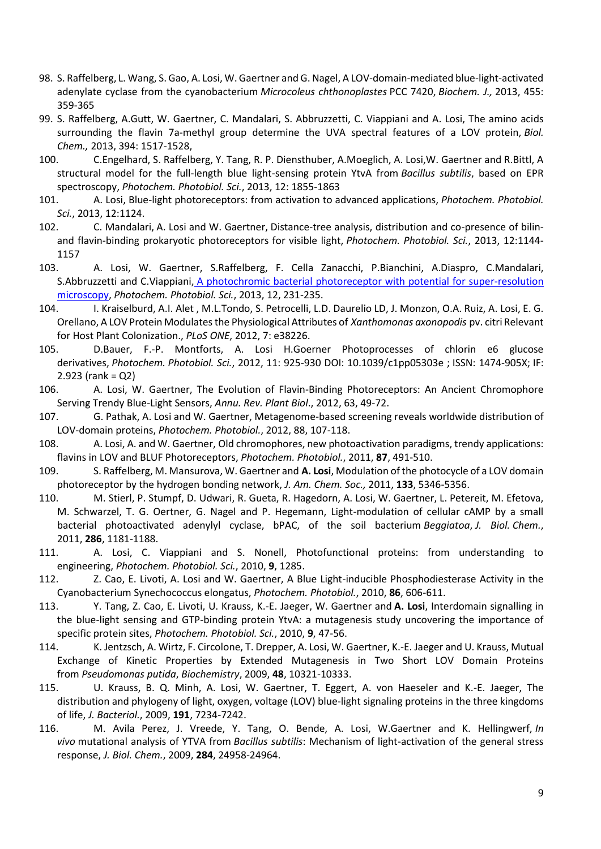- 98. S. Raffelberg, L. Wang, S. Gao, A. Losi, W. Gaertner and G. Nagel, A LOV-domain-mediated blue-light-activated adenylate cyclase from the cyanobacterium *Microcoleus chthonoplastes* PCC 7420, *Biochem. J.,* 2013, 455: 359-365
- 99. S. Raffelberg, A.Gutt, W. Gaertner, C. Mandalari, S. Abbruzzetti, C. Viappiani and A. Losi, The amino acids surrounding the flavin 7a-methyl group determine the UVA spectral features of a LOV protein, *Biol. Chem.,* 2013, 394: 1517-1528,
- 100. C.Engelhard, S. Raffelberg, Y. Tang, R. P. Diensthuber, A.Moeglich, A. Losi,W. Gaertner and R.Bittl, A structural model for the full-length blue light-sensing protein YtvA from *Bacillus subtilis*, based on EPR spectroscopy, *Photochem. Photobiol. Sci.*, 2013, 12: 1855-1863
- 101. A. Losi, Blue-light photoreceptors: from activation to advanced applications, *Photochem. Photobiol. Sci.*, 2013, 12:1124.
- 102. C. Mandalari, A. Losi and W. Gaertner, Distance-tree analysis, distribution and co-presence of bilinand flavin-binding prokaryotic photoreceptors for visible light, *Photochem. Photobiol. Sci.*, 2013, 12:1144- 1157
- 103. A. Losi, W. Gaertner, S.Raffelberg, F. Cella Zanacchi, P.Bianchini, A.Diaspro, C.Mandalari, S.Abbruzzetti and C.Viappiani, [A photochromic bacterial photoreceptor with potential for super-resolution](http://pubs.rsc.org/en/Content/ArticleLanding/2013/PP/c2pp25254f#%21divAbstract)  [microscopy,](http://pubs.rsc.org/en/Content/ArticleLanding/2013/PP/c2pp25254f#%21divAbstract) *Photochem. Photobiol. Sci.*, 2013, 12, 231-235.
- 104. I. Kraiselburd, A.I. Alet , M.L.Tondo, S. Petrocelli, L.D. Daurelio LD, J. Monzon, O.A. Ruiz, A. Losi, E. G. Orellano, A LOV Protein Modulates the Physiological Attributes of *Xanthomonas axonopodis* pv. citri Relevant for Host Plant Colonization., *PLoS ONE*, 2012, 7: e38226.
- 105. D.Bauer, F.-P. Montforts, A. Losi H.Goerner Photoprocesses of chlorin e6 glucose derivatives, *Photochem. Photobiol. Sci.*, 2012, 11: 925-930 DOI: 10.1039/c1pp05303e ; ISSN: 1474-905X; IF: 2.923 (rank = Q2)
- 106. A. Losi, W. Gaertner, The Evolution of Flavin-Binding Photoreceptors: An Ancient Chromophore Serving Trendy Blue-Light Sensors, *Annu. Rev. Plant Biol*., 2012, 63, 49-72.
- 107. G. Pathak, A. Losi and W. Gaertner, Metagenome-based screening reveals worldwide distribution of LOV-domain proteins, *Photochem. Photobiol.*, 2012, 88, 107-118.
- 108. A. Losi, A. and W. Gaertner, Old chromophores, new photoactivation paradigms, trendy applications: flavins in LOV and BLUF Photoreceptors, *Photochem. Photobiol.*, 2011, **87**, 491-510.
- 109. S. Raffelberg, M. Mansurova, W. Gaertner and **A. Losi**, Modulation of the photocycle of a LOV domain photoreceptor by the hydrogen bonding network, *J. Am. Chem. Soc.,* 2011, **133**, 5346-5356.
- 110. M. Stierl, P. Stumpf, D. Udwari, R. Gueta, R. Hagedorn, A. Losi, W. Gaertner, L. Petereit, M. Efetova, M. Schwarzel, T. G. Oertner, G. Nagel and P. Hegemann, Light-modulation of cellular cAMP by a small bacterial photoactivated adenylyl cyclase, bPAC, of the soil bacterium *Beggiatoa*, *J. Biol. Chem.*, 2011, **286**, 1181-1188.
- 111. A. Losi, C. Viappiani and S. Nonell, Photofunctional proteins: from understanding to engineering, *Photochem. Photobiol. Sci.*, 2010, **9**, 1285.
- 112. Z. Cao, E. Livoti, A. Losi and W. Gaertner, A Blue Light-inducible Phosphodiesterase Activity in the Cyanobacterium Synechococcus elongatus, *Photochem. Photobiol.*, 2010, **86**, 606-611.
- 113. Y. Tang, Z. Cao, E. Livoti, U. Krauss, K.-E. Jaeger, W. Gaertner and **A. Losi**, Interdomain signalling in the blue-light sensing and GTP-binding protein YtvA: a mutagenesis study uncovering the importance of specific protein sites, *Photochem. Photobiol. Sci.*, 2010, **9**, 47-56.
- 114. K. Jentzsch, A. Wirtz, F. Circolone, T. Drepper, A. Losi, W. Gaertner, K.-E. Jaeger and U. Krauss, Mutual Exchange of Kinetic Properties by Extended Mutagenesis in Two Short LOV Domain Proteins from *Pseudomonas putida*, *Biochemistry*, 2009, **48**, 10321-10333.
- 115. U. Krauss, B. Q. Minh, A. Losi, W. Gaertner, T. Eggert, A. von Haeseler and K.-E. Jaeger, The distribution and phylogeny of light, oxygen, voltage (LOV) blue-light signaling proteins in the three kingdoms of life, *J. Bacteriol.*, 2009, **191**, 7234-7242.
- 116. M. Avila Perez, J. Vreede, Y. Tang, O. Bende, A. Losi, W.Gaertner and K. Hellingwerf, *In vivo* mutational analysis of YTVA from *Bacillus subtilis*: Mechanism of light-activation of the general stress response, *J. Biol. Chem.*, 2009, **284**, 24958-24964.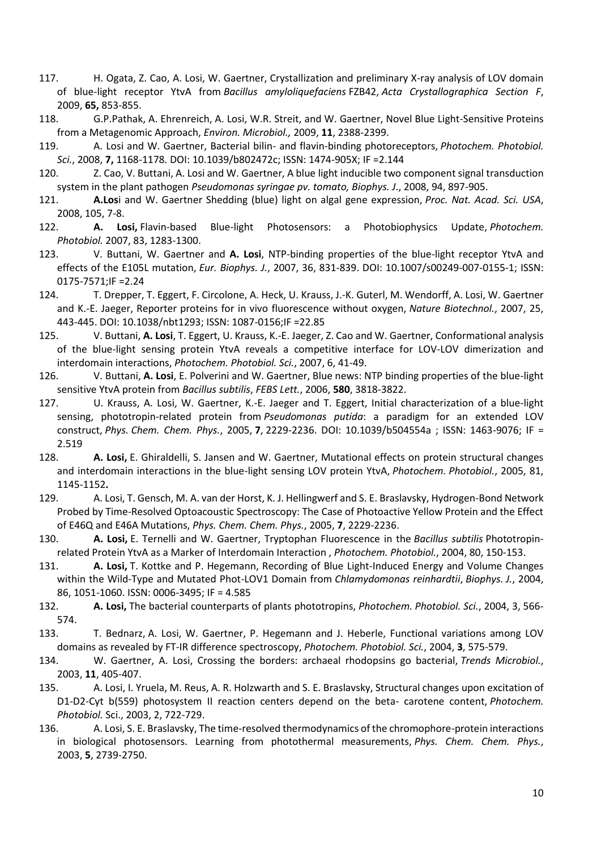- 117. H. Ogata, Z. Cao, A. Losi, W. Gaertner, Crystallization and preliminary X-ray analysis of LOV domain of blue-light receptor YtvA from *Bacillus amyloliquefaciens* FZB42, *Acta Crystallographica Section F*, 2009, **65,** 853-855.
- 118. G.P.Pathak, A. Ehrenreich, A. Losi, W.R. Streit, and W. Gaertner, Novel Blue Light-Sensitive Proteins from a Metagenomic Approach, *Environ. Microbiol.,* 2009, **11**, 2388-2399.
- 119. A. Losi and W. Gaertner, Bacterial bilin- and flavin-binding photoreceptors, *Photochem. Photobiol. Sci.*, 2008, **7,** 1168-1178*.* DOI: 10.1039/b802472c; ISSN: 1474-905X; IF =2.144
- 120. Z. Cao, V. Buttani, A. Losi and W. Gaertner, A blue light inducible two component signal transduction system in the plant pathogen *Pseudomonas syringae pv. tomato, Biophys. J*., 2008, 94, 897-905.
- 121. **A.Los**i and W. Gaertner Shedding (blue) light on algal gene expression, *Proc. Nat. Acad. Sci. USA*, 2008, 105, 7-8.
- 122. **A. Losi,** Flavin-based Blue-light Photosensors: a Photobiophysics Update, *Photochem. Photobiol.* 2007, 83, 1283-1300.
- 123. V. Buttani, W. Gaertner and **A. Losi**, NTP-binding properties of the blue-light receptor YtvA and effects of the E105L mutation, *Eur. Biophys. J.*, 2007, 36, 831-839. DOI: 10.1007/s00249-007-0155-1; ISSN: 0175-7571;IF =2.24
- 124. T. Drepper, T. Eggert, F. Circolone, A. Heck, U. Krauss, J.-K. Guterl, M. Wendorff, A. Losi, W. Gaertner and K.-E. Jaeger, Reporter proteins for in vivo fluorescence without oxygen, *Nature Biotechnol.*, 2007, 25, 443-445. DOI: 10.1038/nbt1293; ISSN: 1087-0156;IF =22.85
- 125. V. Buttani, **A. Losi**, T. Eggert, U. Krauss, K.-E. Jaeger, Z. Cao and W. Gaertner, Conformational analysis of the blue-light sensing protein YtvA reveals a competitive interface for LOV-LOV dimerization and interdomain interactions, *Photochem. Photobiol. Sci.*, 2007, 6, 41-49.
- 126. V. Buttani, **A. Losi**, E. Polverini and W. Gaertner, Blue news: NTP binding properties of the blue-light sensitive YtvA protein from *Bacillus subtilis*, *FEBS Lett.*, 2006, **580**, 3818-3822.
- 127. U. Krauss, A. Losi, W. Gaertner, K.-E. Jaeger and T. Eggert, Initial characterization of a blue-light sensing, phototropin-related protein from *Pseudomonas putida*: a paradigm for an extended LOV construct, *Phys. Chem. Chem. Phys.*, 2005, **7**, 2229-2236. DOI: 10.1039/b504554a ; ISSN: 1463-9076; IF = 2.519
- 128. **A. Losi,** E. Ghiraldelli, S. Jansen and W. Gaertner, Mutational effects on protein structural changes and interdomain interactions in the blue-light sensing LOV protein YtvA, *Photochem. Photobiol.*, 2005, 81, 1145-1152**.**
- 129. A. Losi, T. Gensch, M. A. van der Horst, K. J. Hellingwerf and S. E. Braslavsky, Hydrogen-Bond Network Probed by Time-Resolved Optoacoustic Spectroscopy: The Case of Photoactive Yellow Protein and the Effect of E46Q and E46A Mutations, *Phys. Chem. Chem. Phys.*, 2005, **7**, 2229-2236.
- 130. **A. Losi,** E. Ternelli and W. Gaertner, Tryptophan Fluorescence in the *Bacillus subtilis* Phototropinrelated Protein YtvA as a Marker of Interdomain Interaction , *Photochem. Photobiol.*, 2004, 80, 150-153.
- 131. **A. Losi,** T. Kottke and P. Hegemann, Recording of Blue Light-Induced Energy and Volume Changes within the Wild-Type and Mutated Phot-LOV1 Domain from *Chlamydomonas reinhardtii*, *Biophys. J.*, 2004, 86, 1051-1060. ISSN: 0006-3495; IF = 4.585
- 132. **A. Losi,** The bacterial counterparts of plants phototropins, *Photochem. Photobiol. Sci.*, 2004, 3, 566- 574.
- 133. T. Bednarz, A. Losi, W. Gaertner, P. Hegemann and J. Heberle, Functional variations among LOV domains as revealed by FT-IR difference spectroscopy, *Photochem. Photobiol. Sci.*, 2004, **3**, 575-579.
- 134. W. Gaertner, A. Losi, Crossing the borders: archaeal rhodopsins go bacterial, *Trends Microbiol.*, 2003, **11**, 405-407.
- 135. A. Losi, I. Yruela, M. Reus, A. R. Holzwarth and S. E. Braslavsky, Structural changes upon excitation of D1-D2-Cyt b(559) photosystem II reaction centers depend on the beta- carotene content, *Photochem. Photobiol.* Sci., 2003, 2, 722-729.
- 136. A. Losi, S. E. Braslavsky, The time-resolved thermodynamics of the chromophore-protein interactions in biological photosensors. Learning from photothermal measurements, *Phys. Chem. Chem. Phys.*, 2003, **5**, 2739-2750.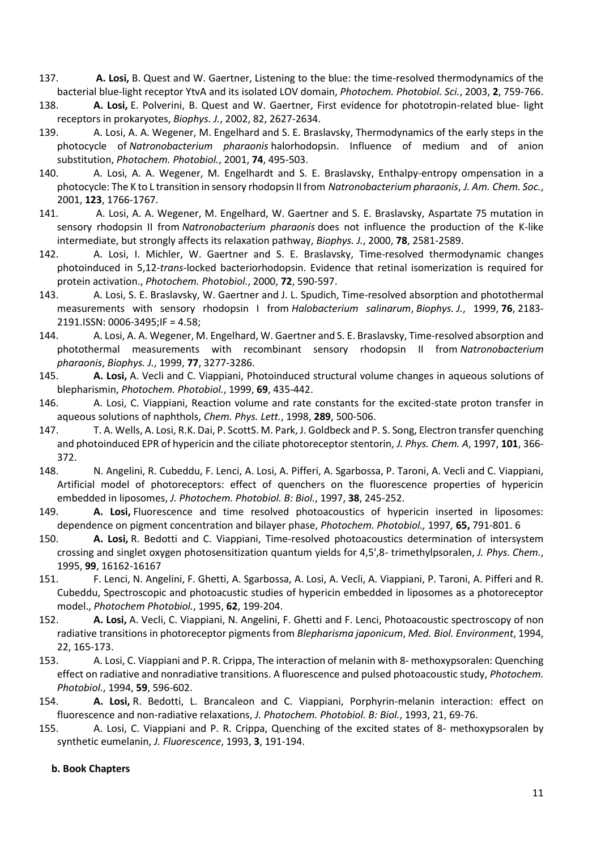- 137. **A. Losi,** B. Quest and W. Gaertner, Listening to the blue: the time-resolved thermodynamics of the bacterial blue-light receptor YtvA and its isolated LOV domain, *Photochem. Photobiol. Sci.*, 2003, **2**, 759-766.
- 138. **A. Losi,** E. Polverini, B. Quest and W. Gaertner, First evidence for phototropin-related blue- light receptors in prokaryotes, *Biophys. J.*, 2002, 82, 2627-2634.
- 139. A. Losi, A. A. Wegener, M. Engelhard and S. E. Braslavsky, Thermodynamics of the early steps in the photocycle of *Natronobacterium pharaonis* halorhodopsin. Influence of medium and of anion substitution, *Photochem. Photobiol.*, 2001, **74**, 495-503.
- 140. A. Losi, A. A. Wegener, M. Engelhardt and S. E. Braslavsky, Enthalpy-entropy ompensation in a photocycle: The K to L transition in sensory rhodopsin II from *Natronobacterium pharaonis*, *J. Am. Chem. Soc.*, 2001, **123**, 1766-1767.
- 141. A. Losi, A. A. Wegener, M. Engelhard, W. Gaertner and S. E. Braslavsky, Aspartate 75 mutation in sensory rhodopsin II from *Natronobacterium pharaonis* does not influence the production of the K-like intermediate, but strongly affects its relaxation pathway, *Biophys. J.*, 2000, **78**, 2581-2589.
- 142. A. Losi, I. Michler, W. Gaertner and S. E. Braslavsky, Time-resolved thermodynamic changes photoinduced in 5,12-*trans-*locked bacteriorhodopsin. Evidence that retinal isomerization is required for protein activation., *Photochem. Photobiol.*, 2000, **72**, 590-597.
- 143. A. Losi, S. E. Braslavsky, W. Gaertner and J. L. Spudich, Time-resolved absorption and photothermal measurements with sensory rhodopsin I from *Halobacterium salinarum*, *Biophys. J.*, 1999, **76**, 2183- 2191.ISSN: 0006-3495;IF = 4.58;
- 144. A. Losi, A. A. Wegener, M. Engelhard, W. Gaertner and S. E. Braslavsky, Time-resolved absorption and photothermal measurements with recombinant sensory rhodopsin II from *Natronobacterium pharaonis*, *Biophys. J.*, 1999, **77**, 3277-3286.
- 145. **A. Losi,** A. Vecli and C. Viappiani, Photoinduced structural volume changes in aqueous solutions of blepharismin, *Photochem. Photobiol.*, 1999, **69**, 435-442.
- 146. A. Losi, C. Viappiani, Reaction volume and rate constants for the excited-state proton transfer in aqueous solutions of naphthols, *Chem. Phys. Lett.*, 1998, **289**, 500-506.
- 147. T. A. Wells, A. Losi, R.K. Dai, P. ScottS. M. Park, J. Goldbeck and P. S. Song, Electron transfer quenching and photoinduced EPR of hypericin and the ciliate photoreceptor stentorin, *J. Phys. Chem. A*, 1997, **101**, 366- 372.
- 148. N. Angelini, R. Cubeddu, F. Lenci, A. Losi, A. Pifferi, A. Sgarbossa, P. Taroni, A. Vecli and C. Viappiani, Artificial model of photoreceptors: effect of quenchers on the fluorescence properties of hypericin embedded in liposomes, *J. Photochem. Photobiol. B: Biol.*, 1997, **38**, 245-252.
- 149. **A. Losi,** Fluorescence and time resolved photoacoustics of hypericin inserted in liposomes: dependence on pigment concentration and bilayer phase, *Photochem. Photobiol.,* 1997*,* **65,** 791-801. 6
- 150. **A. Losi,** R. Bedotti and C. Viappiani, Time-resolved photoacoustics determination of intersystem crossing and singlet oxygen photosensitization quantum yields for 4,5',8- trimethylpsoralen, *J. Phys. Chem.*, 1995, **99**, 16162-16167
- 151. F. Lenci, N. Angelini, F. Ghetti, A. Sgarbossa, A. Losi, A. Vecli, A. Viappiani, P. Taroni, A. Pifferi and R. Cubeddu, Spectroscopic and photoacustic studies of hypericin embedded in liposomes as a photoreceptor model., *Photochem Photobiol.*, 1995, **62**, 199-204.
- 152. **A. Losi,** A. Vecli, C. Viappiani, N. Angelini, F. Ghetti and F. Lenci, Photoacoustic spectroscopy of non radiative transitions in photoreceptor pigments from *Blepharisma japonicum*, *Med. Biol. Environment*, 1994, 22, 165-173.
- 153. A. Losi, C. Viappiani and P. R. Crippa, The interaction of melanin with 8- methoxypsoralen: Quenching effect on radiative and nonradiative transitions. A fluorescence and pulsed photoacoustic study, *Photochem. Photobiol.*, 1994, **59**, 596-602.
- 154. **A. Losi,** R. Bedotti, L. Brancaleon and C. Viappiani, Porphyrin-melanin interaction: effect on fluorescence and non-radiative relaxations, *J. Photochem. Photobiol. B: Biol.*, 1993, 21, 69-76.
- 155. A. Losi, C. Viappiani and P. R. Crippa, Quenching of the excited states of 8- methoxypsoralen by synthetic eumelanin, *J. Fluorescence*, 1993, **3**, 191-194.

### **b. Book Chapters**